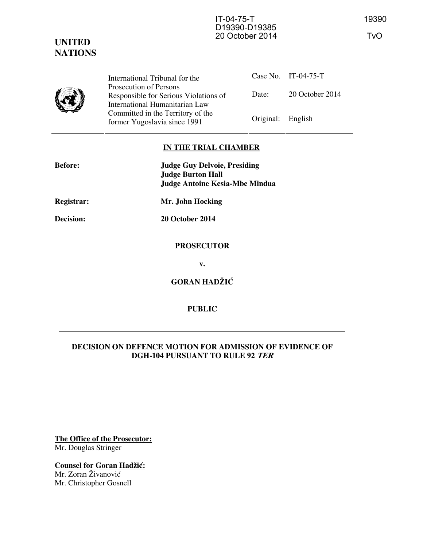# **UNITED NATIONS**



International Tribunal for the Prosecution of Persons Responsible for Serious Violations of International Humanitarian Law Committed in the Territory of the Former Yugoslavia since 1991 Original: English

Case No. IT-04-75-T Date: 20 October 2014

## **IN THE TRIAL CHAMBER**

| <b>Before:</b> | <b>Judge Guy Delvoie, Presiding</b><br><b>Judge Burton Hall</b><br><b>Judge Antoine Kesia-Mbe Mindua</b> |
|----------------|----------------------------------------------------------------------------------------------------------|
| Registrar:     | Mr. John Hocking                                                                                         |
| Decision:      | 20 October 2014                                                                                          |
|                | <b>PROSECUTOR</b>                                                                                        |
|                | v.                                                                                                       |
|                | <b>GORAN HADŽIĆ</b>                                                                                      |

## **PUBLIC**

## **DECISION ON DEFENCE MOTION FOR ADMISSION OF EVIDENCE OF DGH-104 PURSUANT TO RULE 92 TER**

**The Office of the Prosecutor:** Mr. Douglas Stringer

**Counsel for Goran Hadžić:** Mr. Zoran Živanović Mr. Christopher Gosnell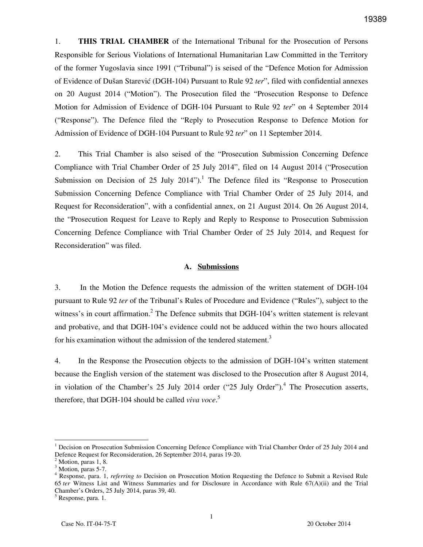1. **THIS TRIAL CHAMBER** of the International Tribunal for the Prosecution of Persons Responsible for Serious Violations of International Humanitarian Law Committed in the Territory of the former Yugoslavia since 1991 ("Tribunal") is seised of the "Defence Motion for Admission of Evidence of Dušan Starević (DGH-104) Pursuant to Rule 92 *ter*", filed with confidential annexes on 20 August 2014 ("Motion"). The Prosecution filed the "Prosecution Response to Defence Motion for Admission of Evidence of DGH-104 Pursuant to Rule 92 *ter*" on 4 September 2014 ("Response"). The Defence filed the "Reply to Prosecution Response to Defence Motion for Admission of Evidence of DGH-104 Pursuant to Rule 92 *ter*" on 11 September 2014.

2. This Trial Chamber is also seised of the "Prosecution Submission Concerning Defence Compliance with Trial Chamber Order of 25 July 2014", filed on 14 August 2014 ("Prosecution Submission on Decision of 25 July 2014").<sup>1</sup> The Defence filed its "Response to Prosecution Submission Concerning Defence Compliance with Trial Chamber Order of 25 July 2014, and Request for Reconsideration", with a confidential annex, on 21 August 2014. On 26 August 2014, the "Prosecution Request for Leave to Reply and Reply to Response to Prosecution Submission Concerning Defence Compliance with Trial Chamber Order of 25 July 2014, and Request for Reconsideration" was filed.

#### **A. Submissions**

3. In the Motion the Defence requests the admission of the written statement of DGH-104 pursuant to Rule 92 *ter* of the Tribunal's Rules of Procedure and Evidence ("Rules"), subject to the witness's in court affirmation.<sup>2</sup> The Defence submits that DGH-104's written statement is relevant and probative, and that DGH-104's evidence could not be adduced within the two hours allocated for his examination without the admission of the tendered statement.<sup>3</sup>

4. In the Response the Prosecution objects to the admission of DGH-104's written statement because the English version of the statement was disclosed to the Prosecution after 8 August 2014, in violation of the Chamber's  $25$  July  $2014$  order (" $25$  July Order").<sup>4</sup> The Prosecution asserts, therefore, that DGH-104 should be called *viva voce*. 5

<sup>1</sup> Decision on Prosecution Submission Concerning Defence Compliance with Trial Chamber Order of 25 July 2014 and Defence Request for Reconsideration, 26 September 2014, paras 19-20.

<sup>2</sup> Motion, paras 1, 8.

<sup>&</sup>lt;sup>3</sup> Motion, paras 5-7.

<sup>4</sup> Response, para. 1, *referring to* Decision on Prosecution Motion Requesting the Defence to Submit a Revised Rule 65 *ter* Witness List and Witness Summaries and for Disclosure in Accordance with Rule 67(A)(ii) and the Trial Chamber's Orders, 25 July 2014, paras 39, 40.

<sup>5</sup> Response, para. 1.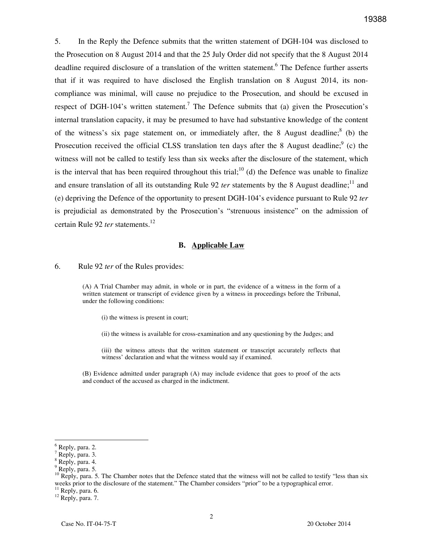5. In the Reply the Defence submits that the written statement of DGH-104 was disclosed to the Prosecution on 8 August 2014 and that the 25 July Order did not specify that the 8 August 2014 deadline required disclosure of a translation of the written statement. <sup>6</sup> The Defence further asserts that if it was required to have disclosed the English translation on 8 August 2014, its noncompliance was minimal, will cause no prejudice to the Prosecution, and should be excused in respect of DGH-104's written statement.<sup>7</sup> The Defence submits that (a) given the Prosecution's internal translation capacity, it may be presumed to have had substantive knowledge of the content of the witness's six page statement on, or immediately after, the 8 August deadline;  $8$  (b) the Prosecution received the official CLSS translation ten days after the 8 August deadline;  $9$  (c) the witness will not be called to testify less than six weeks after the disclosure of the statement, which is the interval that has been required throughout this trial;  $^{10}$  (d) the Defence was unable to finalize and ensure translation of all its outstanding Rule 92 *ter* statements by the 8 August deadline;<sup>11</sup> and (e) depriving the Defence of the opportunity to present DGH-104's evidence pursuant to Rule 92 *ter* is prejudicial as demonstrated by the Prosecution's "strenuous insistence" on the admission of certain Rule 92 *ter* statements.<sup>12</sup>

#### **B. Applicable Law**

6. Rule 92 *ter* of the Rules provides:

(A) A Trial Chamber may admit, in whole or in part, the evidence of a witness in the form of a written statement or transcript of evidence given by a witness in proceedings before the Tribunal, under the following conditions:

(i) the witness is present in court;

(ii) the witness is available for cross-examination and any questioning by the Judges; and

(iii) the witness attests that the written statement or transcript accurately reflects that witness' declaration and what the witness would say if examined.

(B) Evidence admitted under paragraph (A) may include evidence that goes to proof of the acts and conduct of the accused as charged in the indictment.

 $^6$  Reply, para. 2.

Reply, para. 3.

<sup>8</sup> Reply, para. 4.

<sup>&</sup>lt;sup>9</sup> Reply, para. 5.

 $10$  Reply, para. 5. The Chamber notes that the Defence stated that the witness will not be called to testify "less than six weeks prior to the disclosure of the statement." The Chamber considers "prior" to be a typographical error.  $11$  Reply, para. 6.

 $^{12}$  Reply, para. 7.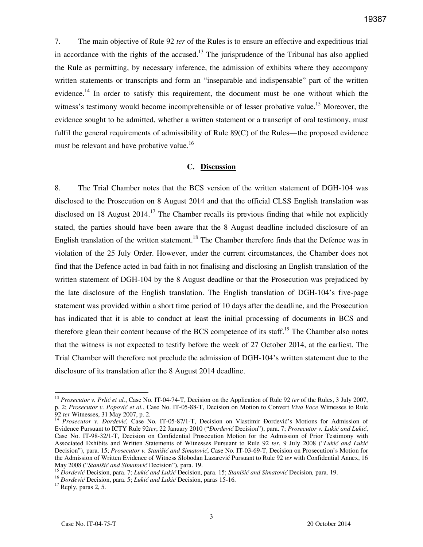7. The main objective of Rule 92 *ter* of the Rules is to ensure an effective and expeditious trial in accordance with the rights of the accused.<sup>13</sup> The jurisprudence of the Tribunal has also applied the Rule as permitting, by necessary inference, the admission of exhibits where they accompany written statements or transcripts and form an "inseparable and indispensable" part of the written evidence.<sup>14</sup> In order to satisfy this requirement, the document must be one without which the witness's testimony would become incomprehensible or of lesser probative value.<sup>15</sup> Moreover, the evidence sought to be admitted, whether a written statement or a transcript of oral testimony, must fulfil the general requirements of admissibility of Rule 89(C) of the Rules—the proposed evidence must be relevant and have probative value.<sup>16</sup>

#### **C. Discussion**

8. The Trial Chamber notes that the BCS version of the written statement of DGH-104 was disclosed to the Prosecution on 8 August 2014 and that the official CLSS English translation was disclosed on 18 August  $2014$ <sup>17</sup> The Chamber recalls its previous finding that while not explicitly stated, the parties should have been aware that the 8 August deadline included disclosure of an English translation of the written statement.<sup>18</sup> The Chamber therefore finds that the Defence was in violation of the 25 July Order. However, under the current circumstances, the Chamber does not find that the Defence acted in bad faith in not finalising and disclosing an English translation of the written statement of DGH-104 by the 8 August deadline or that the Prosecution was prejudiced by the late disclosure of the English translation. The English translation of DGH-104's five-page statement was provided within a short time period of 10 days after the deadline, and the Prosecution has indicated that it is able to conduct at least the initial processing of documents in BCS and therefore glean their content because of the BCS competence of its staff.<sup>19</sup> The Chamber also notes that the witness is not expected to testify before the week of 27 October 2014, at the earliest. The Trial Chamber will therefore not preclude the admission of DGH-104's written statement due to the disclosure of its translation after the 8 August 2014 deadline.

<sup>&</sup>lt;sup>13</sup> Prosecutor v. Prlić et al., Case No. IT-04-74-T, Decision on the Application of Rule 92 *ter* of the Rules, 3 July 2007, p. 2; Prosecutor v. Popović et al., Case No. IT-05-88-T, Decision on Motion to Convert Viva Voce Witnesses to Rule 92 *ter* Witnesses, 31 May 2007, p. 2.

<sup>&</sup>lt;sup>14</sup> Prosecutor v. Đorđević, Case No. IT-05-87/1-T, Decision on Vlastimir Đorđević's Motions for Admission of Evidence Pursuant to ICTY Rule 92ter, 22 January 2010 ("*Đorđević* Decision"), para. 7; Prosecutor v. Lukić and Lukić, Case No. IT-98-32/1-T, Decision on Confidential Prosecution Motion for the Admission of Prior Testimony with Associated Exhibits and Written Statements of Witnesses Pursuant to Rule 92 ter, 9 July 2008 ("Lukić and Lukić Decision"), para. 15; *Prosecutor v. Stanišić and Simatović*, Case No. IT-03-69-T, Decision on Prosecution's Motion for the Admission of Written Evidence of Witness Slobodan Lazarević Pursuant to Rule 92 *ter* with Confidential Annex, 16 May 2008 ("*Stanišić and Simatović Decision"*), para. 19.

<sup>&</sup>lt;sup>15</sup> Dordevic Decision, para. 7; *Lukić and Lukić* Decision, para. 15; *Stanišić and Simatović* Decision, para. 19.

<sup>&</sup>lt;sup>16</sup> *Dorđević* Decision, para. 5; *Lukić and Lukić* Decision, paras 15-16.

 $17$  Reply, paras 2, 5.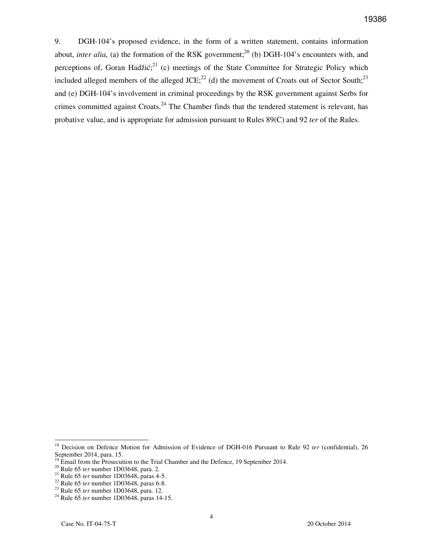9. DGH-104's proposed evidence, in the form of a written statement, contains information about, *inter alia*, (a) the formation of the RSK government;<sup>20</sup> (b) DGH-104's encounters with, and perceptions of, Goran Hadžić; $^{21}$  (c) meetings of the State Committee for Strategic Policy which included alleged members of the alleged JCE;<sup>22</sup> (d) the movement of Croats out of Sector South;<sup>23</sup> and (e) DGH-104's involvement in criminal proceedings by the RSK government against Serbs for crimes committed against Croats.<sup>24</sup> The Chamber finds that the tendered statement is relevant, has probative value, and is appropriate for admission pursuant to Rules 89(C) and 92 *ter* of the Rules.

<sup>&</sup>lt;sup>18</sup> Decision on Defence Motion for Admission of Evidence of DGH-016 Pursuant to Rule 92 *ter* (confidential), 26 September 2014, para. 15.

 $19$  Email from the Prosecution to the Trial Chamber and the Defence, 19 September 2014.

<sup>20</sup> Rule 65 *ter* number 1D03648, para. 2.

<sup>21</sup> Rule 65 *ter* number 1D03648, paras 4-5.

<sup>22</sup> Rule 65 *ter* number 1D03648, paras 6-8.

<sup>23</sup> Rule 65 *ter* number 1D03648, para. 12.

<sup>24</sup> Rule 65 *ter* number 1D03648, paras 14-15.